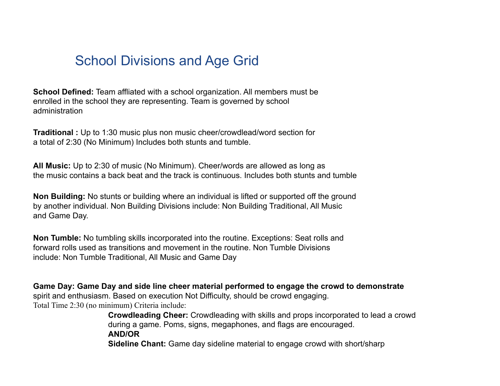## School Divisions and Age Grid

**School Defined:** Team affliated with a school organization. All members must be enrolled in the school they are representing. Team is governed by school administration

**Traditional :** Up to 1:30 music plus non music cheer/crowdlead/word section for a total of 2:30 (No Minimum) Includes both stunts and tumble.

**All Music:** Up to 2:30 of music (No Minimum). Cheer/words are allowed as long as the music contains a back beat and the track is continuous. Includes both stunts and tumble

**Non Building:** No stunts or building where an individual is lifted or supported off the ground by another individual. Non Building Divisions include: Non Building Traditional, All Music and Game Day.

**Non Tumble:** No tumbling skills incorporated into the routine. Exceptions: Seat rolls and forward rolls used as transitions and movement in the routine. Non Tumble Divisions include: Non Tumble Traditional, All Music and Game Day

## **Game Day: Game Day and side line cheer material performed to engage the crowd to demonstrate**

spirit and enthusiasm. Based on execution Not Difficulty, should be crowd engaging. Total Time 2:30 (no minimum) Criteria include:

**Crowdleading Cheer:** Crowdleading with skills and props incorporated to lead a crowd during a game. Poms, signs, megaphones, and flags are encouraged. **AND/OR Sideline Chant:** Game day sideline material to engage crowd with short/sharp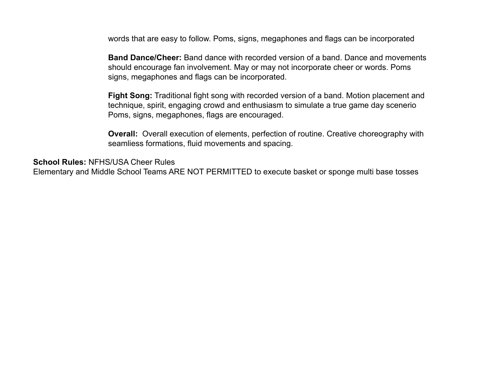words that are easy to follow. Poms, signs, megaphones and flags can be incorporated

**Band Dance/Cheer:** Band dance with recorded version of a band. Dance and movements should encourage fan involvement. May or may not incorporate cheer or words. Poms signs, megaphones and flags can be incorporated.

**Fight Song:** Traditional fight song with recorded version of a band. Motion placement and technique, spirit, engaging crowd and enthusiasm to simulate a true game day scenerio Poms, signs, megaphones, flags are encouraged.

**Overall:** Overall execution of elements, perfection of routine. Creative choreography with seamliess formations, fluid movements and spacing.

**School Rules:** NFHS/USA Cheer Rules

Elementary and Middle School Teams ARE NOT PERMITTED to execute basket or sponge multi base tosses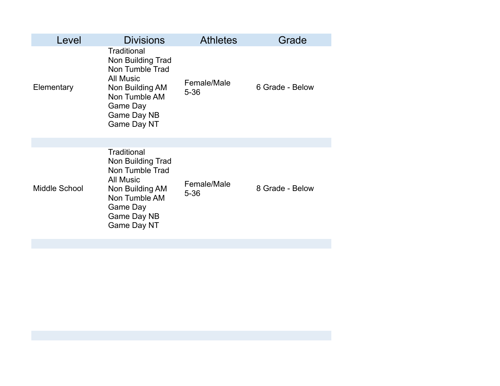| Level                | <b>Divisions</b>                                                                                                                                             | <b>Athletes</b>         | Grade           |
|----------------------|--------------------------------------------------------------------------------------------------------------------------------------------------------------|-------------------------|-----------------|
| Elementary           | Traditional<br>Non Building Trad<br>Non Tumble Trad<br><b>All Music</b><br>Non Building AM<br>Non Tumble AM<br>Game Day<br>Game Day NB<br>Game Day NT        | Female/Male<br>$5 - 36$ | 6 Grade - Below |
|                      |                                                                                                                                                              |                         |                 |
| <b>Middle School</b> | Traditional<br>Non Building Trad<br>Non Tumble Trad<br><b>All Music</b><br>Non Building AM<br>Non Tumble AM<br>Game Day<br>Game Day NB<br><b>Game Day NT</b> | Female/Male<br>$5 - 36$ | 8 Grade - Below |